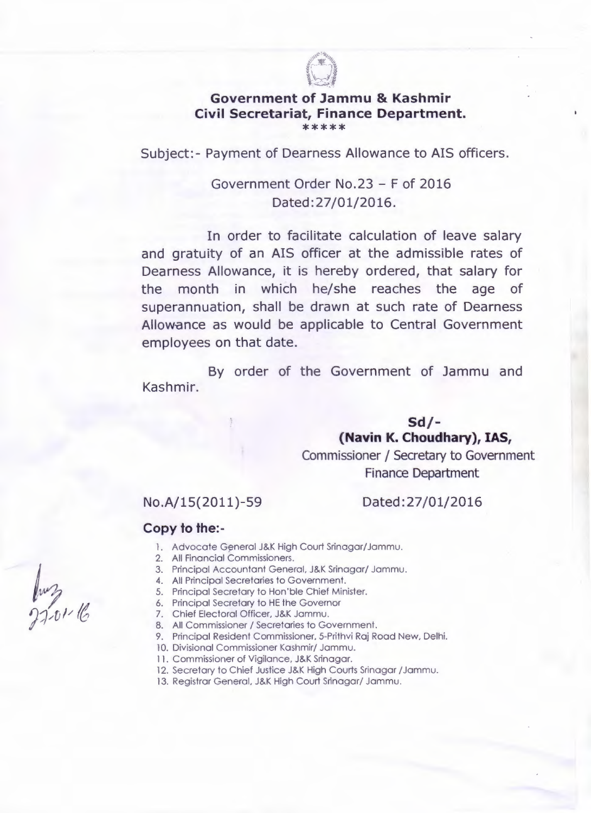

#### Government of Jammu & Kashmir Civil Secretariat, Finance Department. \*\*\*\*\*

Subject:- Payment of Dearness Allowance to AIS officers.

# Government Order No.23 - F of 2016 Dated: 27/01/2016.

In order to facilitate calculation of leave salary and gratuity of an AIS officer at the admissible rates of Dearness Allowance, it is hereby ordered, that salary for the month in which he/she reaches the age of superannuation, shall be drawn at such rate of Dearness Allowance as would be applicable to Central Government employees on that date.

By order of the Government of Jammu and Kashmir.

> Sd/- (Navin K. Choudhary), IAS, Commissioner / Secretary to Government Finance Department

## No. A/15 (2011) - 59

## Dated:27/01/2016

## Copy to the:-

- 1. Advocate General J&K High Court Srinagar/Jammu.
- 2. All Financial Commissioners.
- 3. Principal Accountant General, J&K Srinagar/ Jammu.
- 4. All Principal Secretaries to Government.
- 5. Principal Secretary to Hon'ble Chief Minister.
- 6. Principal Secretary to HE the Governor
- 7. Chief Electoral Officer, J&K Jammu.
- 8. All Commissioner / Secretaries to Government.
- 9. Principal Resident Commissioner, 5-Prithvi Raj Road New, Delhi.
- 10. Divisional Commissioner Kashmir/ Jammu.
- 11. Commissioner of Vigilance, J&K Srinagar.
- 12. Secretary to Chief Justice J&K High Courts Srinagar / Jammu.
- 13. Registrar General, J&K High Court Srinagar/ Jammu.

luz<br>2201-16